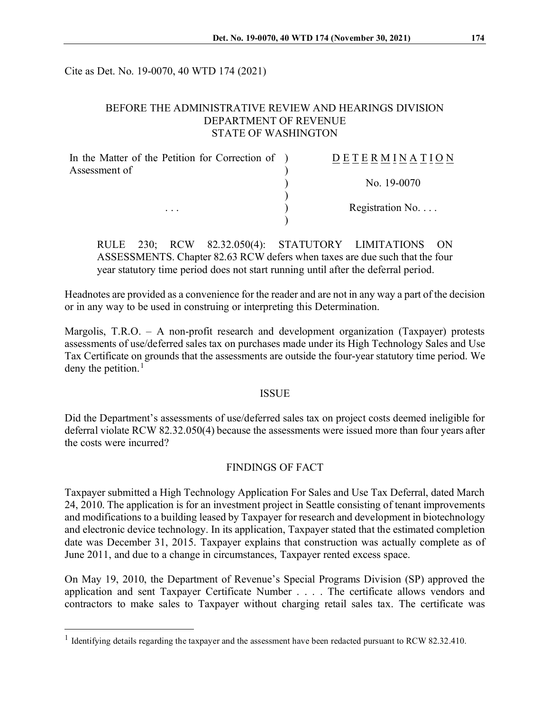Cite as Det. No. 19-0070, 40 WTD 174 (2021)

### BEFORE THE ADMINISTRATIVE REVIEW AND HEARINGS DIVISION DEPARTMENT OF REVENUE STATE OF WASHINGTON

| In the Matter of the Petition for Correction of ) | DETERMINATION            |
|---------------------------------------------------|--------------------------|
| Assessment of                                     |                          |
|                                                   | No. 19-0070              |
| $\cdots$                                          | Registration No. $\dots$ |
|                                                   |                          |

RULE 230; RCW 82.32.050(4): STATUTORY LIMITATIONS ASSESSMENTS. Chapter 82.63 RCW defers when taxes are due such that the four year statutory time period does not start running until after the deferral period.

Headnotes are provided as a convenience for the reader and are not in any way a part of the decision or in any way to be used in construing or interpreting this Determination.

Margolis, T.R.O. – A non-profit research and development organization (Taxpayer) protests assessments of use/deferred sales tax on purchases made under its High Technology Sales and Use Tax Certificate on grounds that the assessments are outside the four-year statutory time period. We deny the petition. $<sup>1</sup>$  $<sup>1</sup>$  $<sup>1</sup>$ </sup>

### ISSUE

Did the Department's assessments of use/deferred sales tax on project costs deemed ineligible for deferral violate RCW 82.32.050(4) because the assessments were issued more than four years after the costs were incurred?

### FINDINGS OF FACT

Taxpayer submitted a High Technology Application For Sales and Use Tax Deferral, dated March 24, 2010. The application is for an investment project in Seattle consisting of tenant improvements and modifications to a building leased by Taxpayer for research and development in biotechnology and electronic device technology. In its application, Taxpayer stated that the estimated completion date was December 31, 2015. Taxpayer explains that construction was actually complete as of June 2011, and due to a change in circumstances, Taxpayer rented excess space.

On May 19, 2010, the Department of Revenue's Special Programs Division (SP) approved the application and sent Taxpayer Certificate Number . . . . The certificate allows vendors and contractors to make sales to Taxpayer without charging retail sales tax. The certificate was

<span id="page-0-0"></span> $1$  Identifying details regarding the taxpayer and the assessment have been redacted pursuant to RCW 82.32.410.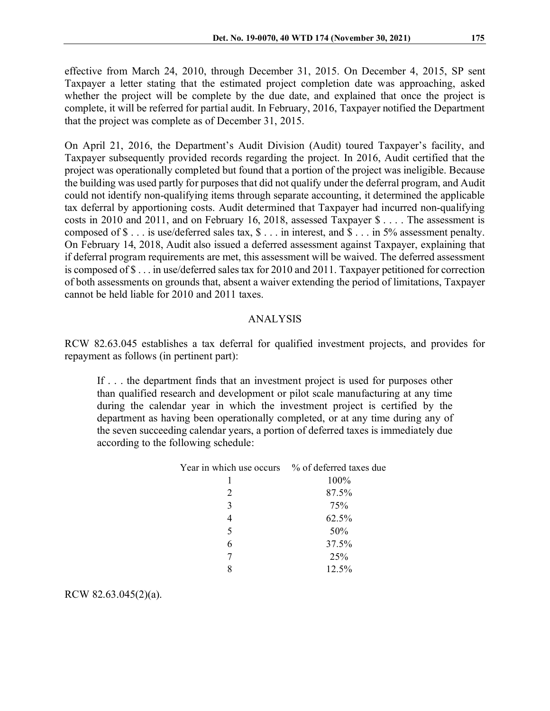effective from March 24, 2010, through December 31, 2015. On December 4, 2015, SP sent Taxpayer a letter stating that the estimated project completion date was approaching, asked whether the project will be complete by the due date, and explained that once the project is complete, it will be referred for partial audit. In February, 2016, Taxpayer notified the Department that the project was complete as of December 31, 2015.

On April 21, 2016, the Department's Audit Division (Audit) toured Taxpayer's facility, and Taxpayer subsequently provided records regarding the project. In 2016, Audit certified that the project was operationally completed but found that a portion of the project was ineligible. Because the building was used partly for purposes that did not qualify under the deferral program, and Audit could not identify non-qualifying items through separate accounting, it determined the applicable tax deferral by apportioning costs. Audit determined that Taxpayer had incurred non-qualifying costs in 2010 and 2011, and on February 16, 2018, assessed Taxpayer \$ . . . . The assessment is composed of \$ . . . is use/deferred sales tax, \$ . . . in interest, and \$ . . . in 5% assessment penalty. On February 14, 2018, Audit also issued a deferred assessment against Taxpayer, explaining that if deferral program requirements are met, this assessment will be waived. The deferred assessment is composed of \$ . . . in use/deferred sales tax for 2010 and 2011. Taxpayer petitioned for correction of both assessments on grounds that, absent a waiver extending the period of limitations, Taxpayer cannot be held liable for 2010 and 2011 taxes.

## ANALYSIS

RCW 82.63.045 establishes a tax deferral for qualified investment projects, and provides for repayment as follows (in pertinent part):

If . . . the department finds that an investment project is used for purposes other than qualified research and development or pilot scale manufacturing at any time during the calendar year in which the investment project is certified by the department as having been operationally completed, or at any time during any of the seven succeeding calendar years, a portion of deferred taxes is immediately due according to the following schedule:

| Year in which use occurs | % of deferred taxes due |
|--------------------------|-------------------------|
|                          | 100%                    |
| 2                        | 87.5%                   |
| 3                        | 75%                     |
|                          | 62.5%                   |
| 5                        | 50%                     |
| 6                        | 37.5%                   |
|                          | 25%                     |
|                          | 12.5%                   |

RCW 82.63.045(2)(a).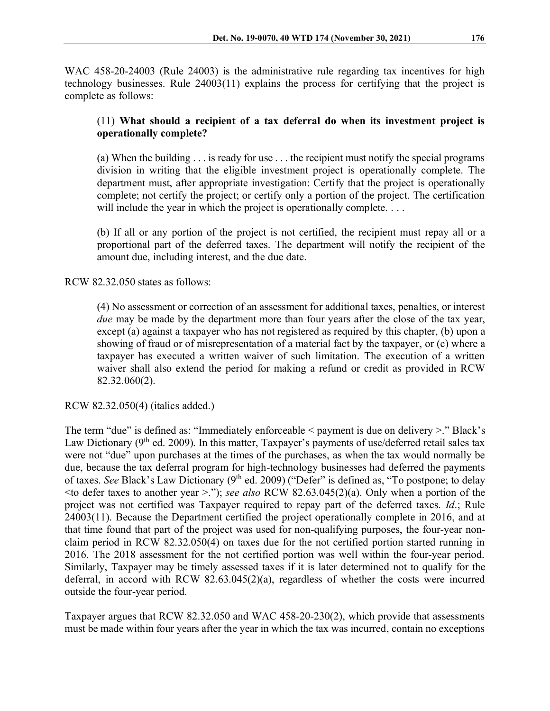WAC 458-20-24003 (Rule 24003) is the administrative rule regarding tax incentives for high technology businesses. Rule 24003(11) explains the process for certifying that the project is complete as follows:

# (11) **What should a recipient of a tax deferral do when its investment project is operationally complete?**

(a) When the building . . . is ready for use . . . the recipient must notify the special programs division in writing that the eligible investment project is operationally complete. The department must, after appropriate investigation: Certify that the project is operationally complete; not certify the project; or certify only a portion of the project. The certification will include the year in which the project is operationally complete. . . .

(b) If all or any portion of the project is not certified, the recipient must repay all or a proportional part of the deferred taxes. The department will notify the recipient of the amount due, including interest, and the due date.

RCW 82.32.050 states as follows:

(4) No assessment or correction of an assessment for additional taxes, penalties, or interest *due* may be made by the department more than four years after the close of the tax year, except (a) against a taxpayer who has not registered as required by this chapter, (b) upon a showing of fraud or of misrepresentation of a material fact by the taxpayer, or (c) where a taxpayer has executed a written waiver of such limitation. The execution of a written waiver shall also extend the period for making a refund or credit as provided in RCW 82.32.060(2).

RCW 82.32.050(4) (italics added.)

The term "due" is defined as: "Immediately enforceable < payment is due on delivery >." Black's Law Dictionary ( $9<sup>th</sup>$  ed. 2009). In this matter, Taxpayer's payments of use/deferred retail sales tax were not "due" upon purchases at the times of the purchases, as when the tax would normally be due, because the tax deferral program for high-technology businesses had deferred the payments of taxes. *See* Black's Law Dictionary (9<sup>th</sup> ed. 2009) ("Defer" is defined as, "To postpone; to delay  $\leq$  to defer taxes to another year  $\geq$ ."); *see also* RCW 82.63.045(2)(a). Only when a portion of the project was not certified was Taxpayer required to repay part of the deferred taxes. *Id*.; Rule 24003(11). Because the Department certified the project operationally complete in 2016, and at that time found that part of the project was used for non-qualifying purposes, the four-year nonclaim period in RCW 82.32.050(4) on taxes due for the not certified portion started running in 2016. The 2018 assessment for the not certified portion was well within the four-year period. Similarly, Taxpayer may be timely assessed taxes if it is later determined not to qualify for the deferral, in accord with RCW 82.63.045(2)(a), regardless of whether the costs were incurred outside the four-year period.

Taxpayer argues that RCW 82.32.050 and WAC 458-20-230(2), which provide that assessments must be made within four years after the year in which the tax was incurred, contain no exceptions